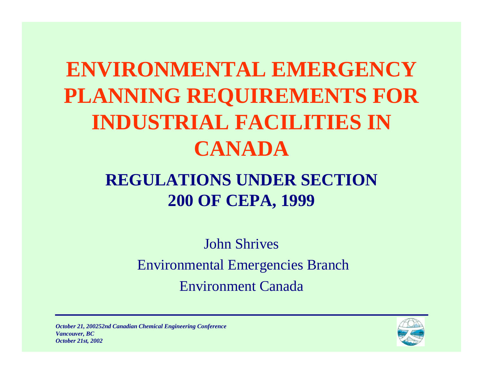#### **ENVIRONMENTAL EMERGENCYPLANNING REQUIREMENTS FOR INDUSTRIAL FACILITIES IN CANADA**

#### **REGULATIONS UNDER SECTION200 OF CEPA, 1999**

John Shrives Environmental Emergencies Branch Environment Canada



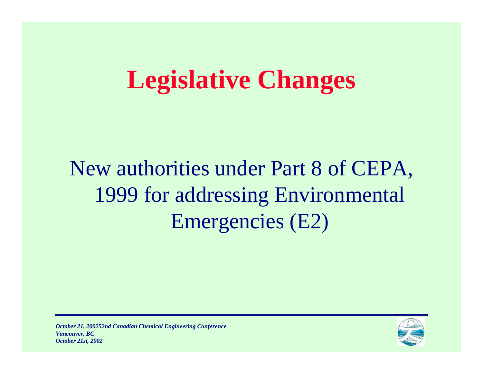### **Legislative Changes**

#### New authorities under Part 8 of CEPA, 1999 for addressing Environmental Emergencies (E2)

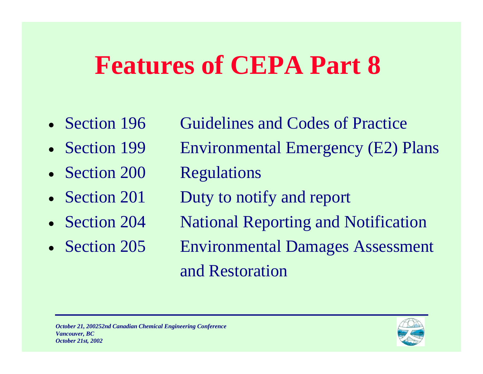# **Features of CEPA Part 8**

- Section 196
- Section 199
- Section 200
- Section 201
- Section 204
- Section 205

Guidelines and Codes of Practice Environmental Emergency (E2) Plans Regulations Duty to notify and report National Reporting and Notification **Environmental Damages Assessment** and Restoration

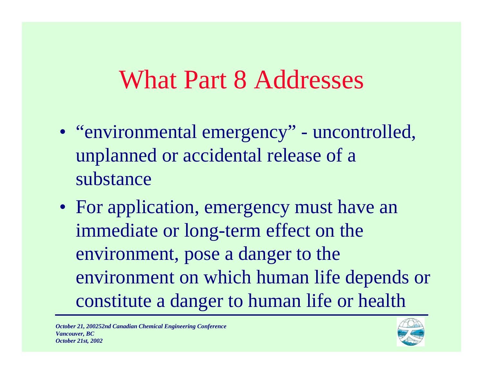#### What Part 8 Addresses

- "environmental emergency" uncontrolled, unplanned or accidental release of a substance
- For application, emergency must have an immediate or long-term effect on the environment, pose a danger to the environment on which human life depends or constitute a danger to human life or health



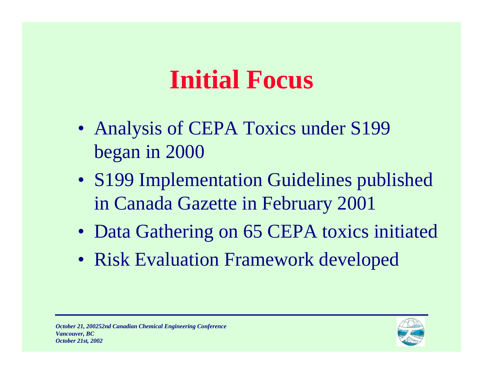#### **Initial Focus**

- Analysis of CEPA Toxics under S199 began in 2000
- S199 Implementation Guidelines published in Canada Gazette in February 2001
- Data Gathering on 65 CEPA toxics initiated
- Risk Evaluation Framework developed

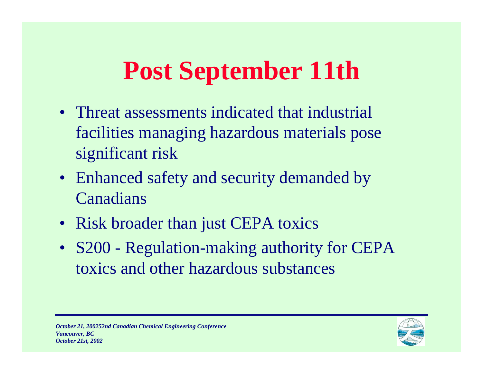# **Post September 11th**

- Threat assessments indicated that industrialfacilities managing hazardous materials pose significant risk
- Enhanced safety and security demanded by Canadians
- Risk broader than just CEPA toxics
- S200 Regulation-making authority for CEPA toxics and other hazardous substances



*Vancouver, BC October 21st, 2002*

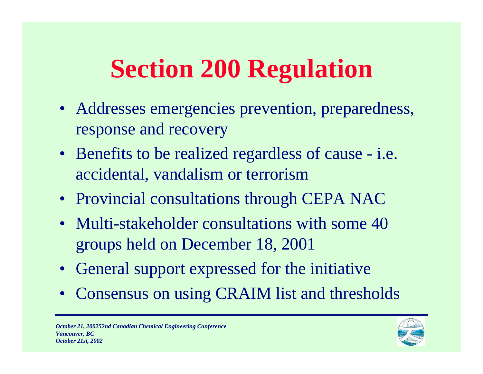# **Section 200 Regulation**

- Addresses emergencies prevention, preparedness, response and recovery
- Benefits to be realized regardless of cause i.e. accidental, vandalism or terrorism
- Provincial consultations through CEPA NAC
- Multi-stakeholder consultations with some 40 groups held on December 18, 2001
- General support expressed for the initiative
- Consensus on using CRAIM list and thresholds

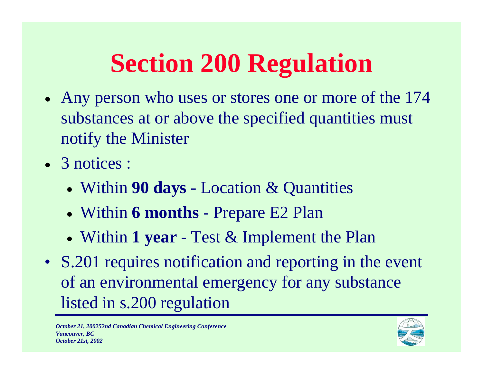# **Section 200 Regulation**

- •• Any person who uses or stores one or more of the 174 substances at or above the specified quantities must notify the Minister
- 3 notices :
	- Within **90 days** Location & Quantities
	- •Within **6 months** - Prepare E2 Plan
	- •Within **1 year** - Test & Implement the Plan
- S.201 requires notification and reporting in the event of an environmental emergency for any substance listed in s.200 regulation

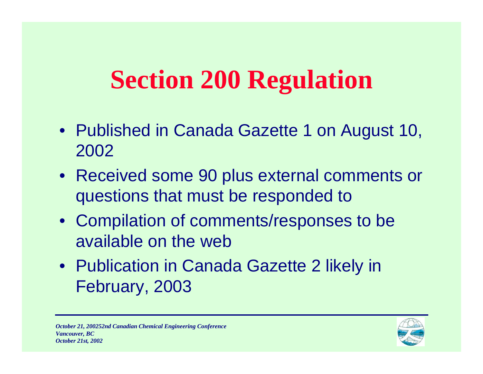### **Section 200 Regulation**

- Published in Canada Gazette 1 on August 10, 2002
- Received some 90 plus external comments or questions that must be responded to
- Compilation of comments/responses to be available on the web
- Publication in Canada Gazette 2 likely in February, 2003

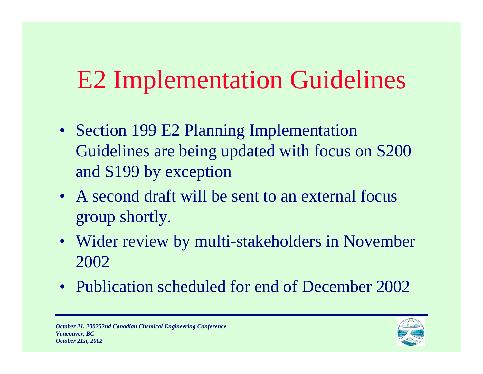### E2 Implementation Guidelines

- Section 199 E2 Planning Implementation Guidelines are being updated with focus on S200 and S199 by exception
- A second draft will be sent to an external focus group shortly.
- Wider review by multi-stakeholders in November 2002
- Publication scheduled for end of December 2002

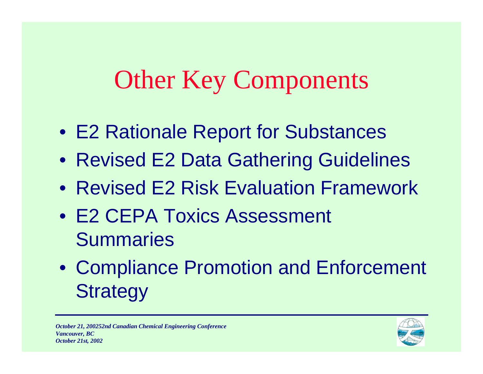#### Other Key Components

- E2 Rationale Report for Substances
- Revised E2 Data Gathering Guidelines
- Revised E2 Risk Evaluation Framework
- E2 CEPA Toxics Assessment **Summaries**
- Compliance Promotion and Enforcement **Strategy**

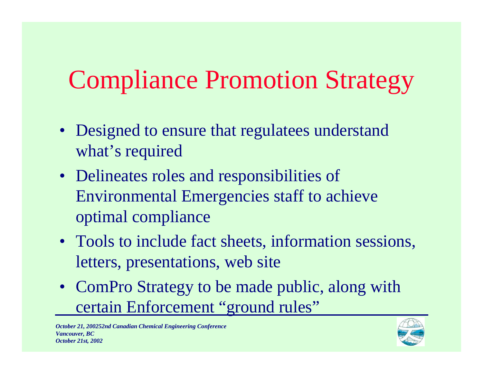### Compliance Promotion Strategy

- Designed to ensure that regulatees understand what's required
- Delineates roles and responsibilities of Environmental Emergencies staff to achieve optimal compliance
- Tools to include fact sheets, information sessions, letters, presentations, web site
- ComPro Strategy to be made public, along with certain Enforcement "ground rules"

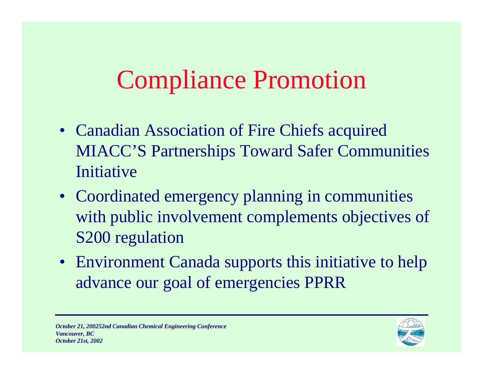### Compliance Promotion

- Canadian Association of Fire Chiefs acquired MIACC'S Partnerships Toward Safer Communities Initiative
- Coordinated emergency planning in communities with public involvement complements objectives of S200 regulation
- Environment Canada supports this initiative to help advance our goal of emergencies PPRR

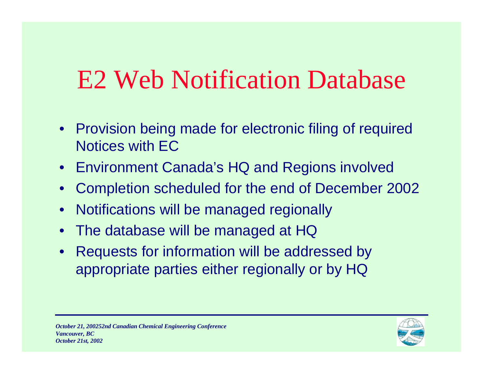#### E2 Web Notification Database

- Provision being made for electronic filing of required Notices with EC
- Environment Canada's HQ and Regions involved
- $\bullet$ Completion scheduled for the end of December 2002
- $\bullet$ Notifications will be managed regionally
- $\bullet$ The database will be managed at HQ
- $\bullet$  Requests for information will be addressed by appropriate parties either regionally or by HQ



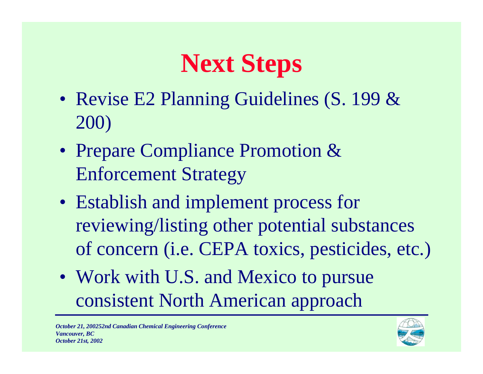## **Next Steps**

- Revise E2 Planning Guidelines (S. 199 & 200)
- Prepare Compliance Promotion & Enforcement Strategy
- Establish and implement process for reviewing/listing other potential substances of concern (i.e. CEPA toxics, pesticides, etc.)
- Work with U.S. and Mexico to pursue consistent North American approach

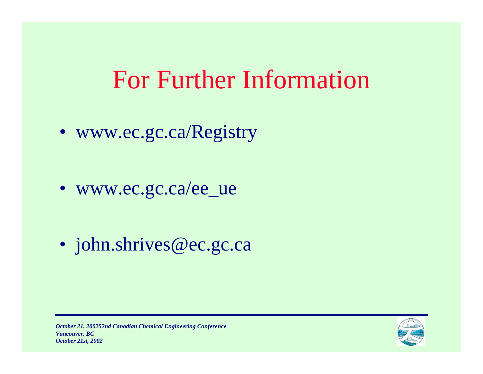#### For Further Information

• www.ec.gc.ca/Registry

• www.ec.gc.ca/ee\_ue

• john.shrives@ec.gc.ca